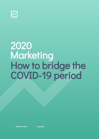

## 2020 How to bridge the COVID-19 period **Marketing**

**bull Difficulty: medium April 2020** 

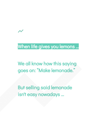### When life gives you lemons …

## We all know how this saying goes on: "Make lemonade."

But selling said lemonade isn't easy nowadays ...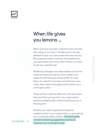

### When life gives you lemons ...

When everyone has been ordered to stay at home, who will go out to buy it? Maybe you're not even allowed to open your lemonade store anymore by the local government. And how will people know your lemonade even exists when there's no crowd to see your advertising?

Marketing managers and departments across the world are experiencing the same sudden and impactful shift because of the COVID-19 crisis. Many are asked to shut down everything to save costs, often without the opportunity to draw up a contingency plan.

These actions might be effective in the short term; they won't do much good for your organization and the (restabilization of the) overall economy in the long term.

Whether you need arguments to keep the marketing alive in your organization or are looking for a comprehensible checklist, this short guide contains marketing suggestions and tips to jumpstart your contingency plan.

top highlight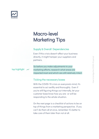

### Macro-level Marketing Tips

#### Supply & Overall Dependencies

Even if this crisis doesn't affect your business directly, it might hamper your suppliers and partners.

#### top highlight

So before you make adjustments to your marketing efforts, research what areas are impacted most and which are still relatively intact.

#### Ticking the necessary boxes

With the COVID-19 crisis on everyone's mind, it's essential to act swiftly and thoroughly. Even if you're still figuring things out internally, let your customer base know how you are -or will beresponding to the whole situation.

On the next page is a checklist of actions to be on top of things from a marketing perspective. If you can't do them all at once, remember it's better to take care of them later than not at all.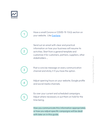

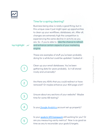

top highlight

#### Time for a spring cleaning?

Business being slow is rarely a good thing, but in this unique case it just might open up opportunities to clean up your workflows, databases, etc. After all, changes are extremely high the competition is experiencing the same decline in activity as you are. So -if you're able to- take the chance to refresh and enhance certain aspects of your marketing engine.

These are examples of stuff you've been probably doing for a while but could be updated / looked at :

Clean up your email databases. You've been gathering data for years probably. Is it all stored nicely and universally?

Are there any 404's that you could redirect or have removed? Or maybe enhance your 404 page a bit?

Unsure about any sections of your website? Maybe time for some AB-testing?

Is your **Google Analytics** account set up properly?



1

2

3

4

Is your [goals & KPI framework](https://bossdata.be/services/business-goals-kpi-s-and-targets/) still working for you? Or are you measuring vanity metrics? Now is as good as time as any to reconsider your goals & targets.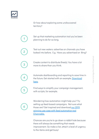

Or how about exploring some undiscovered territory?

Set up that marketing automation tool you've been planning to do for so long.



1

Test out new waters: advertise on channels you have looked into before. E.g. Have you advertised on Bing?



Create content to distribute (freely). You have a lot more to share than you think.



Automate dashboarding and reporting to save time in the future. Get started with an example. [Download](https://bossdata.be/resources/ropo-omnichannel-dashboard-datastudio/) [here](https://bossdata.be/resources/ropo-omnichannel-dashboard-datastudio/).



Find ways to simplify your campaign management, with scripts, for example.



Wondering how automation might help you? Try setting up feed-based campaigns. Not sure what those are? Get inspired and download [our 2019](https://bossdata.be/resources/channable-use-case-of-the-year-2019-winner/) [winning use case with feed automation tool](https://bossdata.be/resources/channable-use-case-of-the-year-2019-winner/) [Channable.](https://bossdata.be/resources/channable-use-case-of-the-year-2019-winner/)

Chances are you're to go down a rabbit hole because there will always be something that needs improvement. So make a list, attach a level of urgency to the items and get busy!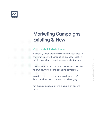

### Marketing Campaigns: Existing & New

### Cut costs but find a balance

Obviously, when (potential) clients are restricted in their movements, the marketing budget allocation will follow suit and experience severe limitations.

A valid measure for sure, but it would be a mistake to shut down marketing spending completely.

As often is the case, the best way forward isn't black or white. It's a particular shade of grey.

On the next page, you'll find a couple of reasons why.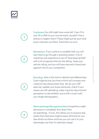



Customers: You still might have some left. Even if it's only 10 or 20% of your normal reach, wouldn't it be a shame to neglect them? These might just be your most loyal customers out there. Treat them as such.

2

Momentum: If you come to a complete halt, you will also have to go through a standing restart. A lot of industries will experience a sort of "level playing field" with a lot of opportunities for the taking. Keep your vehicle rolling, and you will have assured a head start against a lot of your competition.



Branding: Now is the time to identify and differentiate. Cash might be low, but time to think will increase and creativity has always been free. Re-do your USP exercise, update your buyer persona's, check if your values are still upholding, make inquiries about brand perception to see whether you're still in touch with your target demographic …



Stock exchange-like opportunities: Competitors might decrease or completely shut down their ad-spendings. In turn, this allows you to acquire real estate that otherwise might've been off-limits for you. See what's out there and how you can use it to your advantage now that it's relatively cheap!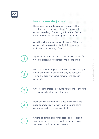

#### How to move and adjust stock

Because of the rapid increase in severity of the situation, many companies haven't been able to adjust accordingly fast enough. In terms of stock management, this could be quite a challenge.

Apart from the logistic side of things, you'll have to adapt and overcome the atypical circumstances with specific marketing efforts:

Try to get rid of assets that are expensive to stock first. Give out discounts to decrease the stock period.

2

1

Focus on advertising the stock that sells well through online channels. As people are staying home, the online availability of some items will increase in popularity.



Offer larger bundles & products with a longer shelf-life to accommodate the current needs.



Have special promotions in place of pre-ordering popular products. It gives you an idea and some guarantee on the amount to restock.



Create a bit more buzz for coupons or store credit vouchers. These are easy to gift online and might temporarily replace actual presents.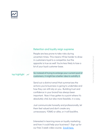

#### Retention and loyalty reign supreme

People are less prone to take risks during uncertain times. This means it'll be harder to draw in customers loyal to a competitor, but the opposite is true as well: You're less likely to lose a lot of your loyal customer base.

#### top highlight

So instead of trying to enlarge your current pool of customers, it might be a better idea to solidify it.

Send out a distinct email that summarizes the actions you're business is going to undertake and how they can still rely on you. Building trust and confidence in your brand has always been important. Now it has gotten to a point where it's absolutely vital, but also more feasible, in a way.

Just communicate honestly and professionally, let them feel valued and don't create any unnecessary FOMO or alike, or it will backfire.

Interested in learning more on loyalty marketing and how it could help your business? Sign up for our free 3 week video course. [Enroll here.](https://bossdata.be/resources/lp/loyalty-video-course/)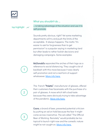

top highlight

#### What you shouldn't do ...

... is taking advantage of the situation and use it to self-promote.

Sounds pretty obvious, right? Yet some marketing departments will try and push the limits of the acceptable. It always happens. The motto "it's easier to ask for forgiveness than to get permission" is a popular saying in marketing-land but often leads to rather foolish decisions and damaging campaigns. Some examples:

1

McDonald's separated the arches of their logo as a reference to social distancing. They caught a lot of backlash with this move because it was clearly self-promotion and not a real form of support whatsoever. [More info here.](https://nypost.com/2020/03/24/mcdonalds-slammed-for-separating-golden-arches-to-promote-social-distancing/)



The French "Polette", manufacturer of glasses, offered their customers free facemasks with the purchase of a pair of glasses. A move which left a bad taste because they were obviously trying to take advantage of the pandemic. [More info here.](https://www.thebestsocial.media/nl/polette-eyewear-roept-verontwaardiging-op-met-mondkapjes-marketing/#)



Coors, a brand of beer, prevented potential criticism by putting an ad on hold because the fear it might come across insensitive. The ad called "The Official Beer of Working Remotely" would probably be too topical to launch right now and the comedic nature might've not caught on. [More info here.](https://adage.com/article/cmo-strategy/coors-light-stops-official-beer-working-remotely-ad-amid-coronavirus-outbreak/2243716)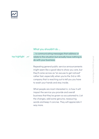

#### What you shouldn't do ...

#### top highlight

... is communicating messages that address or relate to the situation but actually have nothing to do with your business.

Repeating general public service announcements might seem like a good idea to show you care, but they'll come across as "an excuse to get noticed" rather fast, especially when you're the 3rd or 4th company that is reaching out to tell you you have to wash your hands and stay inside.

What people are most interested in, is how it will impact the service you provide and overall business that they've grown so accustomed to. List the changes, add some genuine, reassuring words and keep it concise. They will appreciate it way more.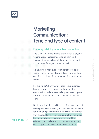

### **Marketing** Communication: Tone and type of content

#### Empathy is (still) your number one skill set

The COVID-19 crisis affects pretty much everyone. Yet, individual experiences range from mild inconveniences, to financial and social insecurity, to human suffering and even mortality.

So now, more than ever, it's imperative you put yourself in the shoes of a variety of personalities and find a balance in your messaging and tone of voice.

For example: When you talk about your business having a rough time, you might not get the compassion and understanding you were hoping for from someone who has a relative in extensive care.

But they still might need to do business with you at some point, so the least you can do is make it easy for them and provide them with all the information they'll need. Rather than explaining how the crisis has affected you, concentrate on how it has affected your audience and convey what you will do to support them and limit inconveniences.

top highlight  $\sim$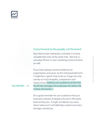

#### Come forward as the people, not the brand

Now that human interaction is limited, it is more valuable than ever at the same time. Not only in everyday life but in your marketing communication as well.

If you have always communicated as an organisation and never as the individual behind it, it might be a "good" time to do so. A logo can only convey so much empathy, compassion and reassurance. Address your audience as the CEO, the VP, the manager, the employee, the father, the mother, the human …

top highlight

It's a good reminder for your audience that your business consists of people who are in the same boat as they are. It might not deliver you more direct sales, but it will definitely create trust and a stronger connection.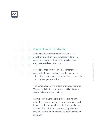

#### Choice of words and visuals

Even if you're not addressing the COVID-19 situation directly in your campaigns, it's still a good idea to check them for a possible poor choice of words and/or visuals.

Messages that promote events, conferences, parties, festivals ... basically any form of social interaction, might not go down well because of the inability to experience them.

The same goes for the choice of images/footage. Visuals that depict togetherness will make you seem oblivious to the obvious.

Examples of other sensitive topics are health, school, grocery shopping, teamwork, major sports leagues … If you do address the topic, make sure -as we talked about in previous chapters- it is relevant to your business and its services and/or products.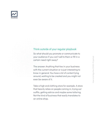

#### Think outside of your regular playbook

So what should you promote or communicate to your audience if you can't sell to them or fill in a certain need right away?

The answer: Anything that ties in your business with the current situation or is just interesting to know in general. You have a lot of content lying around, waiting to be created and you might not even be aware of it.

Take a high end clothing store for example. A store that heavily relies on people coming in, trying out outfits, getting advice and maybe some tailoring. Not the kind of business that easily translates to an online shop.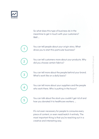

So what does this type of business do in the meantime to get in touch with your customers? Well ...



You can tell people about your origin story. What drove you to start this particular business?

You can tell customers more about your products. Why did you choose certain fabrics?



2

You can tell more about the people behind your brand. What's work like on a daily basis?



You can tell more about your suppliers and the people who work there. Who is putting in the hours?



You can talk about the stock you couldn't get rid of and how you donated it to healthcare workers. …

It's not even necessary for people to consume every piece of content, or even read/watch it entirely. The most important thing is that you're reaching out in a creative and interesting way.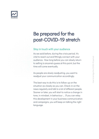

### Be prepared for the post-COVID-19 stretch

#### Stay in touch with your audience

As we said before, during the crisis period, it's vital to reach out and fittingly connect with your audience. How long before you can slowly return to selling is anyone's guess at this point, but the time will come eventually.

As people are slowly readjusting, you want to readjust your communication accordingly.

The best way to do this is to follow-up on the situation as closely as you can. Check-in on the news regularly and talk to a lot of different people. Sooner or later, you will start to notice a change in tone, in mindset, in behaviour ... If you can relay this development in your business communication and campaigns, you will keep on talking the right language.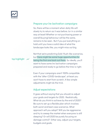

top highlight

#### Prepare your (re-)activation campaigns

So, there will be a moment when daily life will slowly try to return as it was before. (or in a similar way at least) Whether or not purchasing power or overall (buying) behaviour will be the same, remains to be seen. But if you put everything on hold until you have a solid idea of what the landscape looks like, you might miss out big.

Not that we're predicting Gold Rush-like scenarios, but there might be some huge opportunities for being the first one back out there. So ideally, you'll want to have some (re-)activation campaigns prepared and ready to go before the time is right.

Even if your campaigns aren't 100% compatible with the "after-COVID-landscape", at least you won't have to start from scratch. A few simple adjustments might do the trick.

#### Adjust expectations

It goes without saying that you should re-adjust your goals and targets for 2020. Realistically, What do you think to achieve by the end of 2020? Be sure to set up a flexible plan which involves both worst and best case scenarios. What approach will you adopt? Will you be aggressive and try to sweep the market when everyone is still sleeping? Or will 2020 be purely focusing on damage control? Either way, adjust your targets, budgets and goals.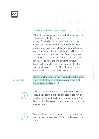

#### Emphasize loyalty even more

When this all blows over eventually, the decision to focus on acquisition might seem pretty straightforward in a lot of ways. But you have to watch out. First off, after a crisis, we can expect people to be less likely to take risks and will reach out to the brands they already know and trust. So it will not be easy to convert a lot of new customers. Secondly, it's an all-in approach. You will have to revamp all campaigns and budgets without knowing for sure that customer sentiment is the same as before the crisis. There is no precedent here, so it's hard to be sure however.

#### top highlight

But we really suggest investing equally in strategies that cater to the needs of your current and most loyal customers first. Why?



Loyalty campaigns are less capital intensive than acquisition campaigns. It's cheaper to convert an existing customer than to find new customers. And besides, loyal customers spend more on average than regular ones.



Your most loyal customers are the ones that will help you survive the next crisis. So find and create more of them.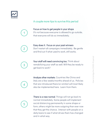

#### A couple more tips to survive this period



Focus on how to get people in your shops It's not because everyone is allowed to go outside, that everyone will do so immediately.



Easy does it. Focus on your past winners Don't restart all campaigns immediately. Be gentle and find out if what used to work, still works.



Your staff will need convincing too. Think about remobilizing your staff as well. Will they be ready to get back to work?



Analyze other markets. Countries like China and Italy are a few weeks/months ahead of us. Policies that are introduced there (or similar) will most likely also be implemented here. Learn from them.



**There is a new normal**. Things will not go back to normal immediately. Some people will implement social distancing permanently in some shape or form, others might be more outgoing than ever now that they get the chance. Interact with people on a daily basis to see if what drives them has changed and in what way.